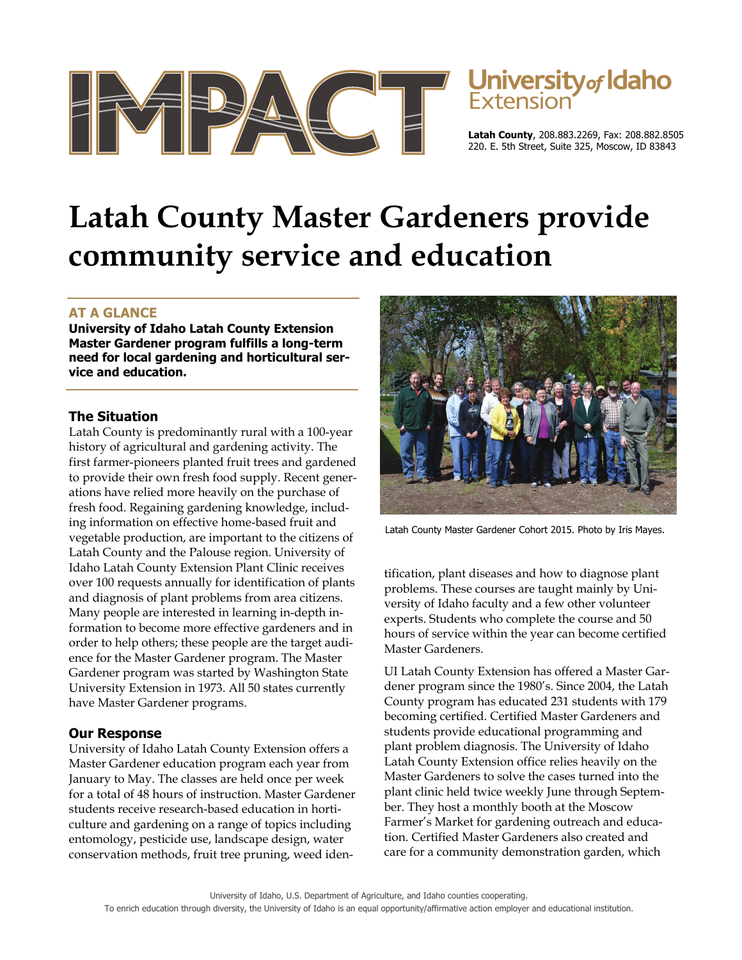



**Latah County**, 208.883.2269, Fax: 208.882.8505 220. E. 5th Street, Suite 325, Moscow, ID 83843

# **Latah County Master Gardeners provide community service and education**

# **AT A GLANCE**

**University of Idaho Latah County Extension Master Gardener program fulfills a long-term need for local gardening and horticultural service and education.** 

### **The Situation**

Latah County is predominantly rural with a 100-year history of agricultural and gardening activity. The first farmer-pioneers planted fruit trees and gardened to provide their own fresh food supply. Recent generations have relied more heavily on the purchase of fresh food. Regaining gardening knowledge, including information on effective home-based fruit and vegetable production, are important to the citizens of Latah County and the Palouse region. University of Idaho Latah County Extension Plant Clinic receives over 100 requests annually for identification of plants and diagnosis of plant problems from area citizens. Many people are interested in learning in-depth information to become more effective gardeners and in order to help others; these people are the target audience for the Master Gardener program. The Master Gardener program was started by Washington State University Extension in 1973. All 50 states currently have Master Gardener programs.

# **Our Response**

University of Idaho Latah County Extension offers a Master Gardener education program each year from January to May. The classes are held once per week for a total of 48 hours of instruction. Master Gardener students receive research-based education in horticulture and gardening on a range of topics including entomology, pesticide use, landscape design, water conservation methods, fruit tree pruning, weed iden-



Latah County Master Gardener Cohort 2015. Photo by Iris Mayes.

tification, plant diseases and how to diagnose plant problems. These courses are taught mainly by University of Idaho faculty and a few other volunteer experts. Students who complete the course and 50 hours of service within the year can become certified Master Gardeners.

UI Latah County Extension has offered a Master Gardener program since the 1980's. Since 2004, the Latah County program has educated 231 students with 179 becoming certified. Certified Master Gardeners and students provide educational programming and plant problem diagnosis. The University of Idaho Latah County Extension office relies heavily on the Master Gardeners to solve the cases turned into the plant clinic held twice weekly June through September. They host a monthly booth at the Moscow Farmer's Market for gardening outreach and education. Certified Master Gardeners also created and care for a community demonstration garden, which